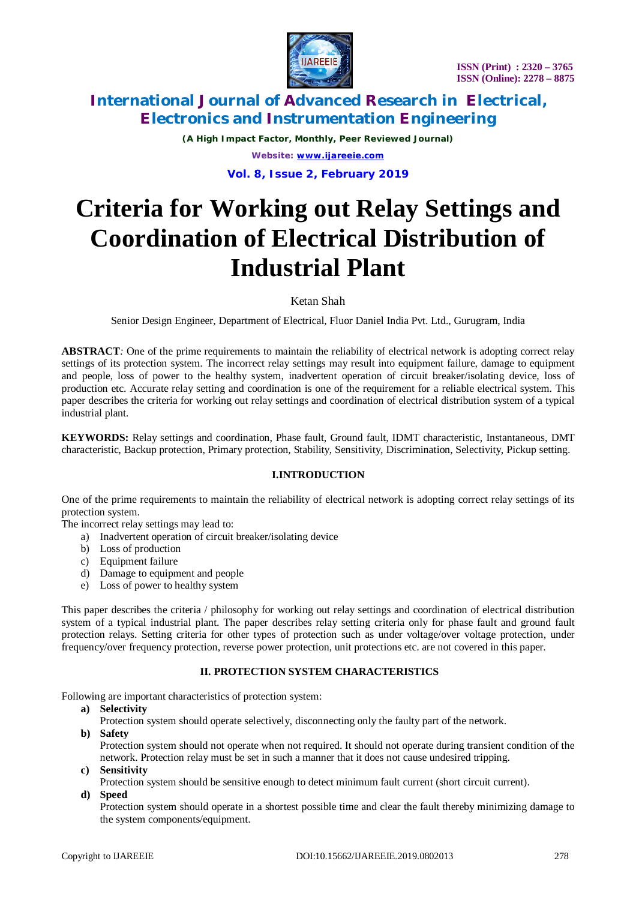

*(A High Impact Factor, Monthly, Peer Reviewed Journal) Website: [www.ijareeie.com](http://www.ijareeie.com)*

**Vol. 8, Issue 2, February 2019**

# **Criteria for Working out Relay Settings and Coordination of Electrical Distribution of Industrial Plant**

Ketan Shah

Senior Design Engineer, Department of Electrical, Fluor Daniel India Pvt. Ltd., Gurugram, India

**ABSTRACT***:* One of the prime requirements to maintain the reliability of electrical network is adopting correct relay settings of its protection system. The incorrect relay settings may result into equipment failure, damage to equipment and people, loss of power to the healthy system, inadvertent operation of circuit breaker/isolating device, loss of production etc. Accurate relay setting and coordination is one of the requirement for a reliable electrical system. This paper describes the criteria for working out relay settings and coordination of electrical distribution system of a typical industrial plant.

**KEYWORDS:** Relay settings and coordination, Phase fault, Ground fault, IDMT characteristic, Instantaneous, DMT characteristic, Backup protection, Primary protection, Stability, Sensitivity, Discrimination, Selectivity, Pickup setting.

### **I.INTRODUCTION**

One of the prime requirements to maintain the reliability of electrical network is adopting correct relay settings of its protection system.

The incorrect relay settings may lead to:

- a) Inadvertent operation of circuit breaker/isolating device
- b) Loss of production
- c) Equipment failure
- d) Damage to equipment and people
- e) Loss of power to healthy system

This paper describes the criteria / philosophy for working out relay settings and coordination of electrical distribution system of a typical industrial plant. The paper describes relay setting criteria only for phase fault and ground fault protection relays. Setting criteria for other types of protection such as under voltage/over voltage protection, under frequency/over frequency protection, reverse power protection, unit protections etc. are not covered in this paper.

#### **II. PROTECTION SYSTEM CHARACTERISTICS**

Following are important characteristics of protection system:

- **a) Selectivity**
	- Protection system should operate selectively, disconnecting only the faulty part of the network.
- **b) Safety**

Protection system should not operate when not required. It should not operate during transient condition of the network. Protection relay must be set in such a manner that it does not cause undesired tripping.

- **c) Sensitivity**
	- Protection system should be sensitive enough to detect minimum fault current (short circuit current).
- **d) Speed**

Protection system should operate in a shortest possible time and clear the fault thereby minimizing damage to the system components/equipment.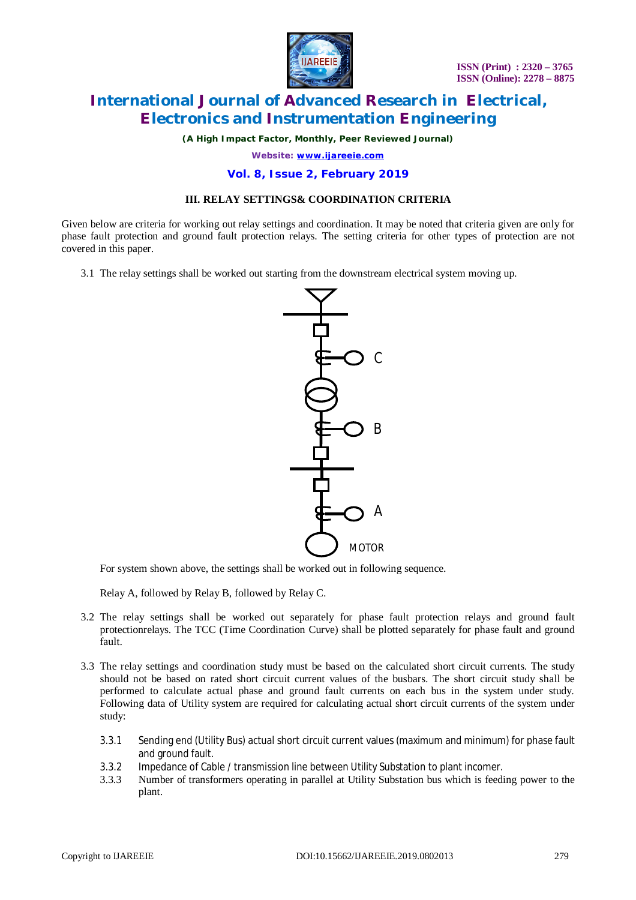

*(A High Impact Factor, Monthly, Peer Reviewed Journal)*

*Website: [www.ijareeie.com](http://www.ijareeie.com)*

#### **Vol. 8, Issue 2, February 2019**

### **III. RELAY SETTINGS& COORDINATION CRITERIA**

Given below are criteria for working out relay settings and coordination. It may be noted that criteria given are only for phase fault protection and ground fault protection relays. The setting criteria for other types of protection are not covered in this paper.

3.1 The relay settings shall be worked out starting from the downstream electrical system moving up.



For system shown above, the settings shall be worked out in following sequence.

Relay A, followed by Relay B, followed by Relay C.

- 3.2 The relay settings shall be worked out separately for phase fault protection relays and ground fault protectionrelays. The TCC (Time Coordination Curve) shall be plotted separately for phase fault and ground fault.
- 3.3 The relay settings and coordination study must be based on the calculated short circuit currents. The study should not be based on rated short circuit current values of the busbars. The short circuit study shall be performed to calculate actual phase and ground fault currents on each bus in the system under study. Following data of Utility system are required for calculating actual short circuit currents of the system under study:
	- 3.3.1 Sending end (Utility Bus) actual short circuit current values (maximum and minimum) for phase fault and ground fault.
	- 3.3.2 Impedance of Cable / transmission line between Utility Substation to plant incomer.
	- 3.3.3 Number of transformers operating in parallel at Utility Substation bus which is feeding power to the plant.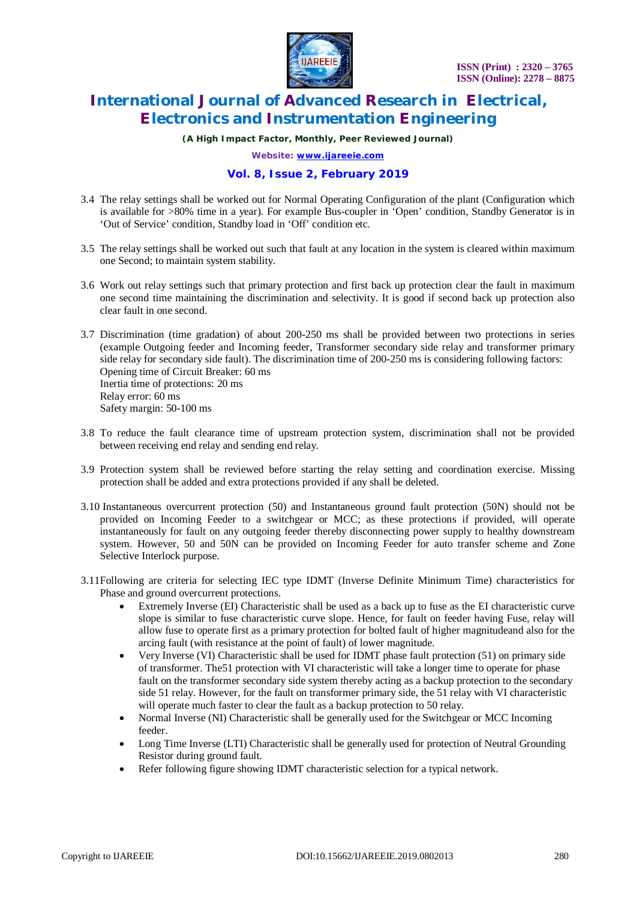

*(A High Impact Factor, Monthly, Peer Reviewed Journal)*

*Website: [www.ijareeie.com](http://www.ijareeie.com)*

### **Vol. 8, Issue 2, February 2019**

- 3.4 The relay settings shall be worked out for Normal Operating Configuration of the plant (Configuration which is available for >80% time in a year). For example Bus-coupler in 'Open' condition, Standby Generator is in 'Out of Service' condition, Standby load in 'Off' condition etc.
- 3.5 The relay settings shall be worked out such that fault at any location in the system is cleared within maximum one Second; to maintain system stability.
- 3.6 Work out relay settings such that primary protection and first back up protection clear the fault in maximum one second time maintaining the discrimination and selectivity. It is good if second back up protection also clear fault in one second.
- 3.7 Discrimination (time gradation) of about 200-250 ms shall be provided between two protections in series (example Outgoing feeder and Incoming feeder, Transformer secondary side relay and transformer primary side relay for secondary side fault). The discrimination time of 200-250 ms is considering following factors: Opening time of Circuit Breaker: 60 ms Inertia time of protections: 20 ms Relay error: 60 ms Safety margin: 50-100 ms
- 3.8 To reduce the fault clearance time of upstream protection system, discrimination shall not be provided between receiving end relay and sending end relay.
- 3.9 Protection system shall be reviewed before starting the relay setting and coordination exercise. Missing protection shall be added and extra protections provided if any shall be deleted.
- 3.10 Instantaneous overcurrent protection (50) and Instantaneous ground fault protection (50N) should not be provided on Incoming Feeder to a switchgear or MCC; as these protections if provided, will operate instantaneously for fault on any outgoing feeder thereby disconnecting power supply to healthy downstream system. However, 50 and 50N can be provided on Incoming Feeder for auto transfer scheme and Zone Selective Interlock purpose.
- 3.11Following are criteria for selecting IEC type IDMT (Inverse Definite Minimum Time) characteristics for Phase and ground overcurrent protections.
	- Extremely Inverse (EI) Characteristic shall be used as a back up to fuse as the EI characteristic curve slope is similar to fuse characteristic curve slope. Hence, for fault on feeder having Fuse, relay will allow fuse to operate first as a primary protection for bolted fault of higher magnitudeand also for the arcing fault (with resistance at the point of fault) of lower magnitude.
	- Very Inverse (VI) Characteristic shall be used for IDMT phase fault protection (51) on primary side of transformer. The51 protection with VI characteristic will take a longer time to operate for phase fault on the transformer secondary side system thereby acting as a backup protection to the secondary side 51 relay. However, for the fault on transformer primary side, the 51 relay with VI characteristic will operate much faster to clear the fault as a backup protection to 50 relay.
	- Normal Inverse (NI) Characteristic shall be generally used for the Switchgear or MCC Incoming feeder.
	- Long Time Inverse (LTI) Characteristic shall be generally used for protection of Neutral Grounding Resistor during ground fault.
	- Refer following figure showing IDMT characteristic selection for a typical network.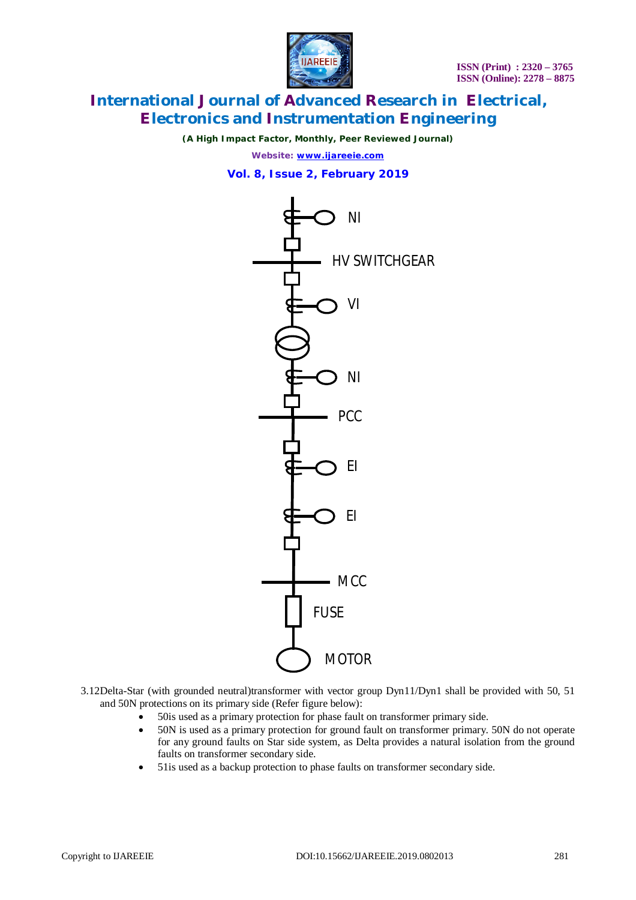

*(A High Impact Factor, Monthly, Peer Reviewed Journal)*

*Website: [www.ijareeie.com](http://www.ijareeie.com)*

**Vol. 8, Issue 2, February 2019**



3.12Delta-Star (with grounded neutral)transformer with vector group Dyn11/Dyn1 shall be provided with 50, 51 and 50N protections on its primary side (Refer figure below):

- 50is used as a primary protection for phase fault on transformer primary side.
- 50N is used as a primary protection for ground fault on transformer primary. 50N do not operate for any ground faults on Star side system, as Delta provides a natural isolation from the ground faults on transformer secondary side.
- 51is used as a backup protection to phase faults on transformer secondary side.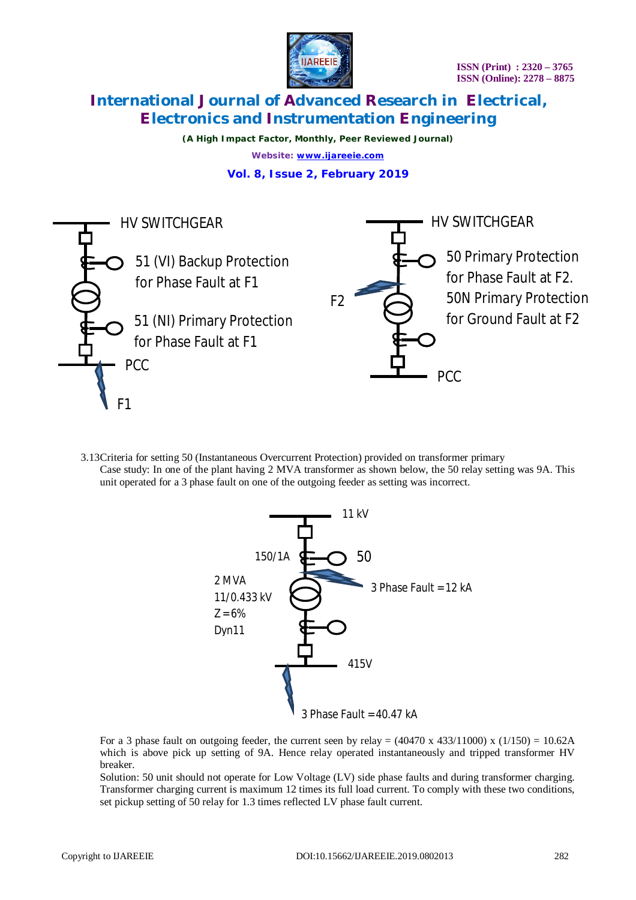

*(A High Impact Factor, Monthly, Peer Reviewed Journal) Website: [www.ijareeie.com](http://www.ijareeie.com)*

### **Vol. 8, Issue 2, February 2019**



3.13Criteria for setting 50 (Instantaneous Overcurrent Protection) provided on transformer primary Case study: In one of the plant having 2 MVA transformer as shown below, the 50 relay setting was 9A. This unit operated for a 3 phase fault on one of the outgoing feeder as setting was incorrect.



For a 3 phase fault on outgoing feeder, the current seen by relay =  $(40470 \times 433/11000) \times (1/150) = 10.62$ A which is above pick up setting of 9A. Hence relay operated instantaneously and tripped transformer HV breaker.

Solution: 50 unit should not operate for Low Voltage (LV) side phase faults and during transformer charging. Transformer charging current is maximum 12 times its full load current. To comply with these two conditions, set pickup setting of 50 relay for 1.3 times reflected LV phase fault current.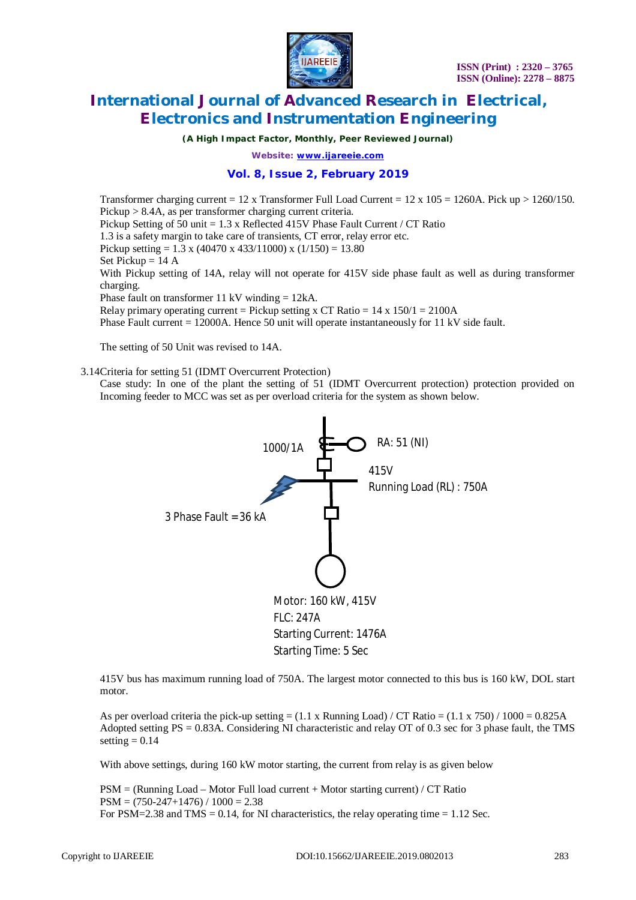

*(A High Impact Factor, Monthly, Peer Reviewed Journal)*

*Website: [www.ijareeie.com](http://www.ijareeie.com)*

#### **Vol. 8, Issue 2, February 2019**

Transformer charging current =  $12 \times$  Transformer Full Load Current =  $12 \times 105 = 1260$ A. Pick up >  $1260/150$ . Pickup > 8.4A, as per transformer charging current criteria. Pickup Setting of 50 unit = 1.3 x Reflected 415V Phase Fault Current / CT Ratio 1.3 is a safety margin to take care of transients, CT error, relay error etc. Pickup setting = 1.3 x (40470 x 433/11000) x (1/150) = 13.80 Set Pickup  $= 14$  A With Pickup setting of 14A, relay will not operate for 415V side phase fault as well as during transformer charging. Phase fault on transformer 11 kV winding = 12kA. Relay primary operating current = Pickup setting x CT Ratio =  $14 \times 150/1 = 2100$ A Phase Fault current = 12000A. Hence 50 unit will operate instantaneously for 11 kV side fault.

The setting of 50 Unit was revised to 14A.

3.14Criteria for setting 51 (IDMT Overcurrent Protection)

Case study: In one of the plant the setting of 51 (IDMT Overcurrent protection) protection provided on Incoming feeder to MCC was set as per overload criteria for the system as shown below.



415V bus has maximum running load of 750A. The largest motor connected to this bus is 160 kW, DOL start motor.

As per overload criteria the pick-up setting  $= (1.1 \times$  Running Load) / CT Ratio  $= (1.1 \times 750)$  / 1000  $= 0.825$ A Adopted setting PS = 0.83A. Considering NI characteristic and relay OT of 0.3 sec for 3 phase fault, the TMS setting  $= 0.14$ 

With above settings, during 160 kW motor starting, the current from relay is as given below

PSM = (Running Load – Motor Full load current + Motor starting current) / CT Ratio  $PSM = (750-247+1476) / 1000 = 2.38$ For PSM=2.38 and TMS =  $0.14$ , for NI characteristics, the relay operating time =  $1.12$  Sec.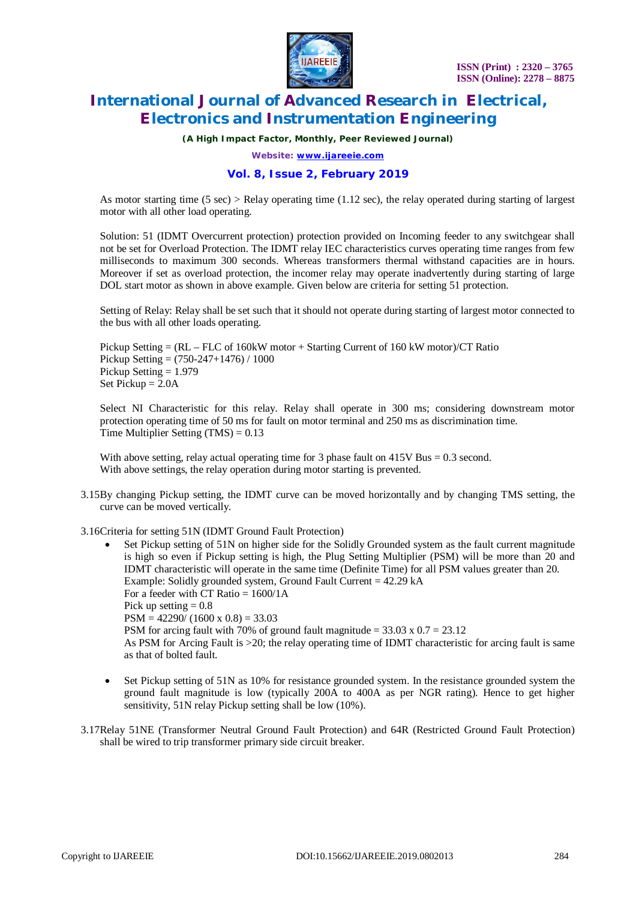

*(A High Impact Factor, Monthly, Peer Reviewed Journal)*

*Website: [www.ijareeie.com](http://www.ijareeie.com)*

#### **Vol. 8, Issue 2, February 2019**

As motor starting time  $(5 \text{ sec})$  > Relay operating time  $(1.12 \text{ sec})$ , the relay operated during starting of largest motor with all other load operating.

Solution: 51 (IDMT Overcurrent protection) protection provided on Incoming feeder to any switchgear shall not be set for Overload Protection. The IDMT relay IEC characteristics curves operating time ranges from few milliseconds to maximum 300 seconds. Whereas transformers thermal withstand capacities are in hours. Moreover if set as overload protection, the incomer relay may operate inadvertently during starting of large DOL start motor as shown in above example. Given below are criteria for setting 51 protection.

Setting of Relay: Relay shall be set such that it should not operate during starting of largest motor connected to the bus with all other loads operating.

Pickup Setting = (RL – FLC of 160kW motor + Starting Current of 160 kW motor)/CT Ratio Pickup Setting = (750-247+1476) / 1000 Pickup Setting = 1.979 Set Pickup  $= 2.0A$ 

Select NI Characteristic for this relay. Relay shall operate in 300 ms; considering downstream motor protection operating time of 50 ms for fault on motor terminal and 250 ms as discrimination time. Time Multiplier Setting (TMS) = 0.13

With above setting, relay actual operating time for 3 phase fault on 415V Bus = 0.3 second. With above settings, the relay operation during motor starting is prevented.

3.15By changing Pickup setting, the IDMT curve can be moved horizontally and by changing TMS setting, the curve can be moved vertically.

3.16Criteria for setting 51N (IDMT Ground Fault Protection)

- Set Pickup setting of 51N on higher side for the Solidly Grounded system as the fault current magnitude is high so even if Pickup setting is high, the Plug Setting Multiplier (PSM) will be more than 20 and IDMT characteristic will operate in the same time (Definite Time) for all PSM values greater than 20. Example: Solidly grounded system, Ground Fault Current = 42.29 kA For a feeder with CT Ratio  $= 1600/1$ A Pick up setting  $= 0.8$  $PSM = 42290/(1600 \times 0.8) = 33.03$ PSM for arcing fault with 70% of ground fault magnitude =  $33.03 \times 0.7 = 23.12$ As PSM for Arcing Fault is >20; the relay operating time of IDMT characteristic for arcing fault is same as that of bolted fault.
- Set Pickup setting of 51N as 10% for resistance grounded system. In the resistance grounded system the ground fault magnitude is low (typically 200A to 400A as per NGR rating). Hence to get higher sensitivity, 51N relay Pickup setting shall be low (10%).
- 3.17Relay 51NE (Transformer Neutral Ground Fault Protection) and 64R (Restricted Ground Fault Protection) shall be wired to trip transformer primary side circuit breaker.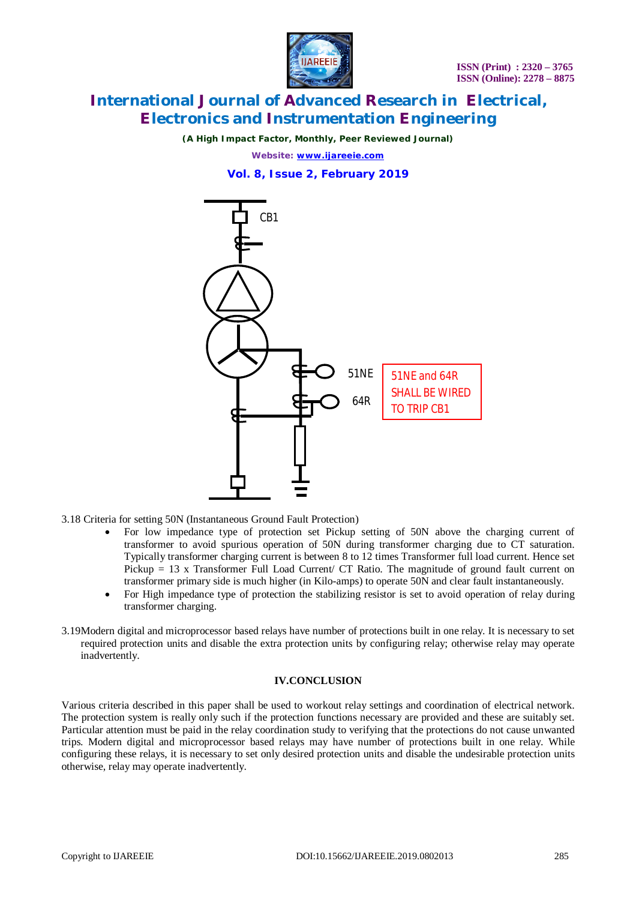

*(A High Impact Factor, Monthly, Peer Reviewed Journal)*

*Website: [www.ijareeie.com](http://www.ijareeie.com)*

### **Vol. 8, Issue 2, February 2019**



3.18 Criteria for setting 50N (Instantaneous Ground Fault Protection)

- For low impedance type of protection set Pickup setting of 50N above the charging current of transformer to avoid spurious operation of 50N during transformer charging due to CT saturation. Typically transformer charging current is between 8 to 12 times Transformer full load current. Hence set Pickup  $= 13$  x Transformer Full Load Current/ CT Ratio. The magnitude of ground fault current on transformer primary side is much higher (in Kilo-amps) to operate 50N and clear fault instantaneously.
- For High impedance type of protection the stabilizing resistor is set to avoid operation of relay during transformer charging.
- 3.19Modern digital and microprocessor based relays have number of protections built in one relay. It is necessary to set required protection units and disable the extra protection units by configuring relay; otherwise relay may operate inadvertently.

#### **IV.CONCLUSION**

Various criteria described in this paper shall be used to workout relay settings and coordination of electrical network. The protection system is really only such if the protection functions necessary are provided and these are suitably set. Particular attention must be paid in the relay coordination study to verifying that the protections do not cause unwanted trips. Modern digital and microprocessor based relays may have number of protections built in one relay. While configuring these relays, it is necessary to set only desired protection units and disable the undesirable protection units otherwise, relay may operate inadvertently.